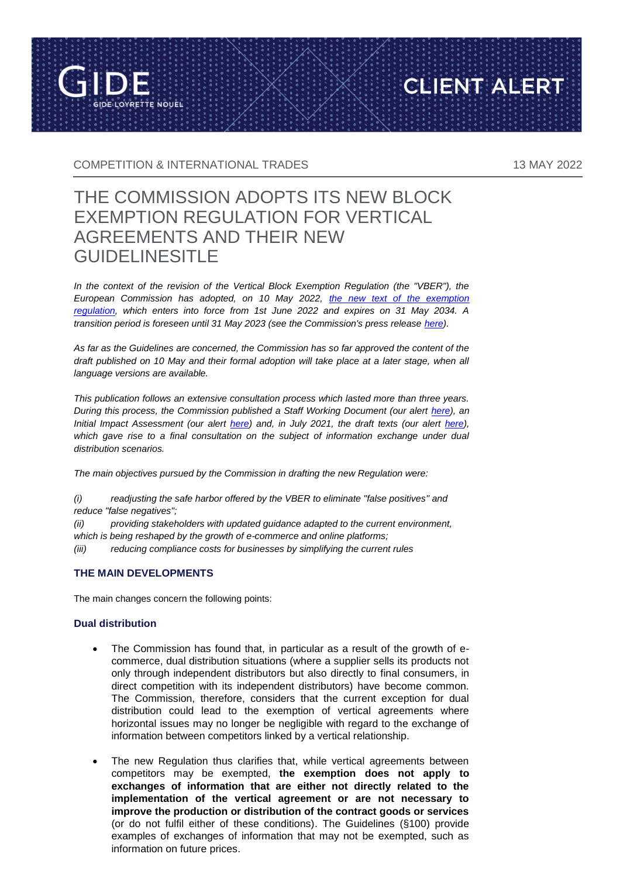

COMPETITION & INTERNATIONAL TRADES 13 MAY 2022

**CLIENT ALERT** 

# THE COMMISSION ADOPTS ITS NEW BLOCK EXEMPTION REGULATION FOR VERTICAL AGREEMENTS AND THEIR NEW GUIDELINESITLE

*In the context of the revision of the Vertical Block Exemption Regulation (the "VBER"), the European Commission has adopted, on 10 May 2022, [the new text of the exemption](https://ec.europa.eu/competition-policy/antitrust/legislation/vertical-block-exemptions_en)  [regulation,](https://ec.europa.eu/competition-policy/antitrust/legislation/vertical-block-exemptions_en) which enters into force from 1st June 2022 and expires on 31 May 2034. A transition period is foreseen until 31 May 2023 (see the Commission's press release [here\)](https://ec.europa.eu/commission/presscorner/detail/en/ip_22_2844)*.

*As far as the Guidelines are concerned, the Commission has so far approved the content of the*  draft published on 10 May and their formal adoption will take place at a later stage, when all *language versions are available.* 

*This publication follows an extensive consultation process which lasted more than three years. During this process, the Commission published a Staff Working Document (our alert [here\)](https://www.gide.com/en/news/the-commission-publishes-its-staff-working-document-on-the-evaluation-of-the-vertical-block), an Initial Impact Assessment (our alert [here\)](https://www.gide.com/en/news/the-commission-published-the-inception-impact-assessment-for-the-vber-and-the-vertical) and, in July 2021, the draft texts (our alert [here\)](https://www.gide.com/en/news/vber-the-commission-publishes-its-draft-vertical-exemption-regulation-and-guidelines-0),*  which gave rise to a final consultation on the subject of information exchange under dual *distribution scenarios.* 

*The main objectives pursued by the Commission in drafting the new Regulation were:* 

*(i) readjusting the safe harbor offered by the VBER to eliminate "false positives" and reduce "false negatives";*

*(ii) providing stakeholders with updated guidance adapted to the current environment, which is being reshaped by the growth of e-commerce and online platforms;*

*(iii) reducing compliance costs for businesses by simplifying the current rules*

### **THE MAIN DEVELOPMENTS**

The main changes concern the following points:

#### **Dual distribution**

- The Commission has found that, in particular as a result of the growth of ecommerce, dual distribution situations (where a supplier sells its products not only through independent distributors but also directly to final consumers, in direct competition with its independent distributors) have become common. The Commission, therefore, considers that the current exception for dual distribution could lead to the exemption of vertical agreements where horizontal issues may no longer be negligible with regard to the exchange of information between competitors linked by a vertical relationship.
- The new Regulation thus clarifies that, while vertical agreements between competitors may be exempted, **the exemption does not apply to exchanges of information that are either not directly related to the implementation of the vertical agreement or are not necessary to improve the production or distribution of the contract goods or services** (or do not fulfil either of these conditions). The Guidelines (§100) provide examples of exchanges of information that may not be exempted, such as information on future prices.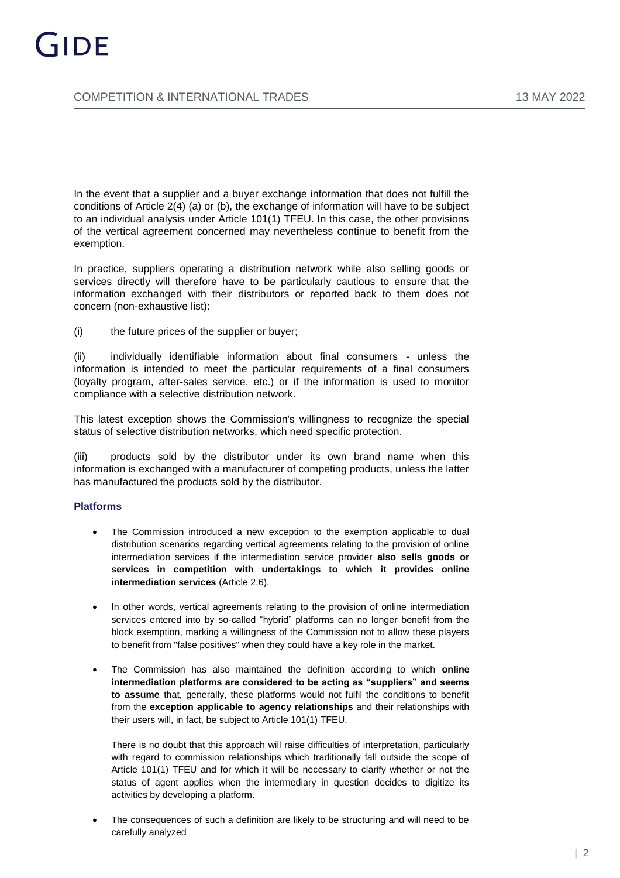In the event that a supplier and a buyer exchange information that does not fulfill the conditions of Article 2(4) (a) or (b), the exchange of information will have to be subject to an individual analysis under Article 101(1) TFEU. In this case, the other provisions of the vertical agreement concerned may nevertheless continue to benefit from the exemption.

In practice, suppliers operating a distribution network while also selling goods or services directly will therefore have to be particularly cautious to ensure that the information exchanged with their distributors or reported back to them does not concern (non-exhaustive list):

(i) the future prices of the supplier or buyer;

(ii) individually identifiable information about final consumers - unless the information is intended to meet the particular requirements of a final consumers (loyalty program, after-sales service, etc.) or if the information is used to monitor compliance with a selective distribution network.

This latest exception shows the Commission's willingness to recognize the special status of selective distribution networks, which need specific protection.

(iii) products sold by the distributor under its own brand name when this information is exchanged with a manufacturer of competing products, unless the latter has manufactured the products sold by the distributor.

### **Platforms**

- The Commission introduced a new exception to the exemption applicable to dual distribution scenarios regarding vertical agreements relating to the provision of online intermediation services if the intermediation service provider **also sells goods or services in competition with undertakings to which it provides online intermediation services** (Article 2.6).
- In other words, vertical agreements relating to the provision of online intermediation services entered into by so-called "hybrid" platforms can no longer benefit from the block exemption, marking a willingness of the Commission not to allow these players to benefit from "false positives" when they could have a key role in the market.
- The Commission has also maintained the definition according to which **online intermediation platforms are considered to be acting as "suppliers" and seems to assume** that, generally, these platforms would not fulfil the conditions to benefit from the **exception applicable to agency relationships** and their relationships with their users will, in fact, be subject to Article 101(1) TFEU.

There is no doubt that this approach will raise difficulties of interpretation, particularly with regard to commission relationships which traditionally fall outside the scope of Article 101(1) TFEU and for which it will be necessary to clarify whether or not the status of agent applies when the intermediary in question decides to digitize its activities by developing a platform.

 The consequences of such a definition are likely to be structuring and will need to be carefully analyzed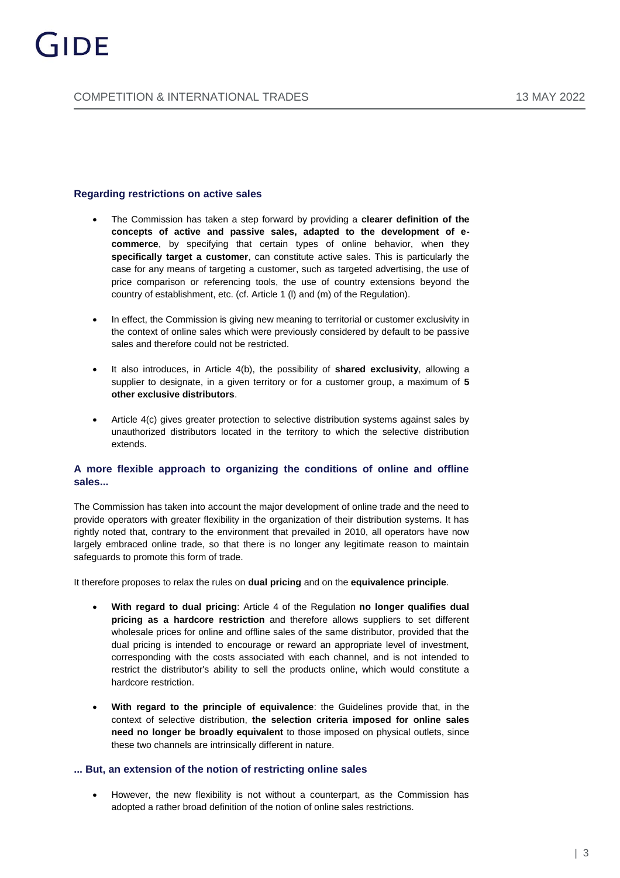#### **Regarding restrictions on active sales**

- The Commission has taken a step forward by providing a **clearer definition of the concepts of active and passive sales, adapted to the development of ecommerce**, by specifying that certain types of online behavior, when they **specifically target a customer**, can constitute active sales. This is particularly the case for any means of targeting a customer, such as targeted advertising, the use of price comparison or referencing tools, the use of country extensions beyond the country of establishment, etc. (cf. Article 1 (l) and (m) of the Regulation).
- In effect, the Commission is giving new meaning to territorial or customer exclusivity in the context of online sales which were previously considered by default to be passive sales and therefore could not be restricted.
- It also introduces, in Article 4(b), the possibility of **shared exclusivity**, allowing a supplier to designate, in a given territory or for a customer group, a maximum of **5 other exclusive distributors**.
- Article 4(c) gives greater protection to selective distribution systems against sales by unauthorized distributors located in the territory to which the selective distribution extends.

#### **A more flexible approach to organizing the conditions of online and offline sales...**

The Commission has taken into account the major development of online trade and the need to provide operators with greater flexibility in the organization of their distribution systems. It has rightly noted that, contrary to the environment that prevailed in 2010, all operators have now largely embraced online trade, so that there is no longer any legitimate reason to maintain safeguards to promote this form of trade.

It therefore proposes to relax the rules on **dual pricing** and on the **equivalence principle**.

- **With regard to dual pricing**: Article 4 of the Regulation **no longer qualifies dual pricing as a hardcore restriction** and therefore allows suppliers to set different wholesale prices for online and offline sales of the same distributor, provided that the dual pricing is intended to encourage or reward an appropriate level of investment, corresponding with the costs associated with each channel, and is not intended to restrict the distributor's ability to sell the products online, which would constitute a hardcore restriction.
- **With regard to the principle of equivalence**: the Guidelines provide that, in the context of selective distribution, **the selection criteria imposed for online sales need no longer be broadly equivalent** to those imposed on physical outlets, since these two channels are intrinsically different in nature.

#### **... But, an extension of the notion of restricting online sales**

 However, the new flexibility is not without a counterpart, as the Commission has adopted a rather broad definition of the notion of online sales restrictions.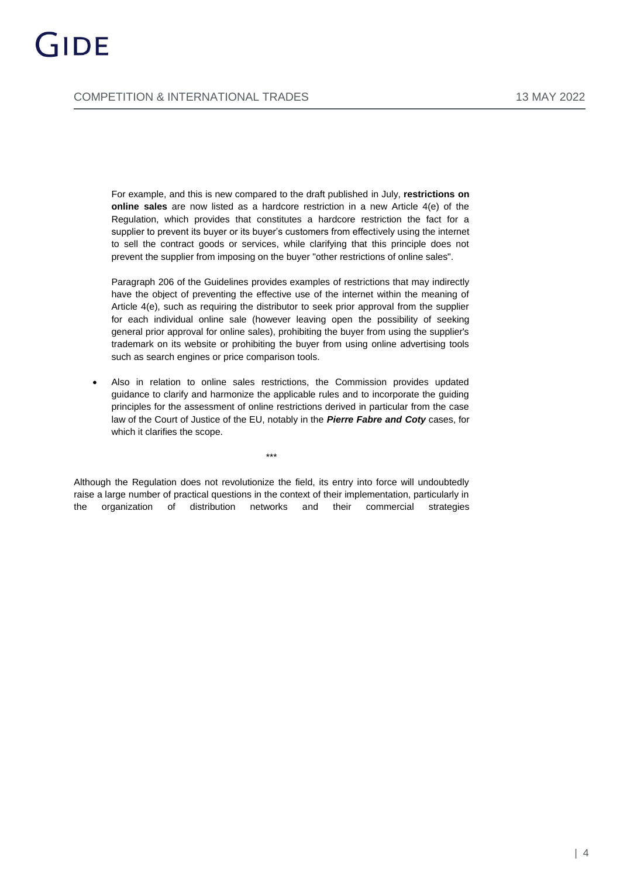For example, and this is new compared to the draft published in July, **restrictions on online sales** are now listed as a hardcore restriction in a new Article 4(e) of the Regulation, which provides that constitutes a hardcore restriction the fact for a supplier to prevent its buyer or its buyer's customers from effectively using the internet to sell the contract goods or services, while clarifying that this principle does not prevent the supplier from imposing on the buyer "other restrictions of online sales".

Paragraph 206 of the Guidelines provides examples of restrictions that may indirectly have the object of preventing the effective use of the internet within the meaning of Article 4(e), such as requiring the distributor to seek prior approval from the supplier for each individual online sale (however leaving open the possibility of seeking general prior approval for online sales), prohibiting the buyer from using the supplier's trademark on its website or prohibiting the buyer from using online advertising tools such as search engines or price comparison tools.

 Also in relation to online sales restrictions, the Commission provides updated guidance to clarify and harmonize the applicable rules and to incorporate the guiding principles for the assessment of online restrictions derived in particular from the case law of the Court of Justice of the EU, notably in the *Pierre Fabre and Coty* cases, for which it clarifies the scope.

\*\*\*

Although the Regulation does not revolutionize the field, its entry into force will undoubtedly raise a large number of practical questions in the context of their implementation, particularly in the organization of distribution networks and their commercial strategies